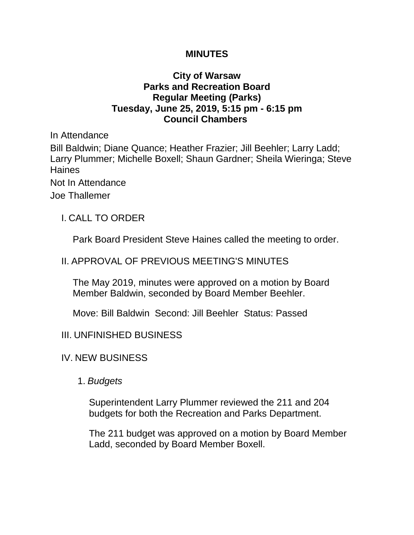### **MINUTES**

## **City of Warsaw Parks and Recreation Board Regular Meeting (Parks) Tuesday, June 25, 2019, 5:15 pm - 6:15 pm Council Chambers**

In Attendance Bill Baldwin; Diane Quance; Heather Frazier; Jill Beehler; Larry Ladd; Larry Plummer; Michelle Boxell; Shaun Gardner; Sheila Wieringa; Steve Haines Not In Attendance Joe Thallemer

I. CALL TO ORDER

Park Board President Steve Haines called the meeting to order.

# II. APPROVAL OF PREVIOUS MEETING'S MINUTES

The May 2019, minutes were approved on a motion by Board Member Baldwin, seconded by Board Member Beehler.

Move: Bill Baldwin Second: Jill Beehler Status: Passed

- III. UNFINISHED BUSINESS
- IV. NEW BUSINESS
	- 1. *Budgets*

Superintendent Larry Plummer reviewed the 211 and 204 budgets for both the Recreation and Parks Department.

The 211 budget was approved on a motion by Board Member Ladd, seconded by Board Member Boxell.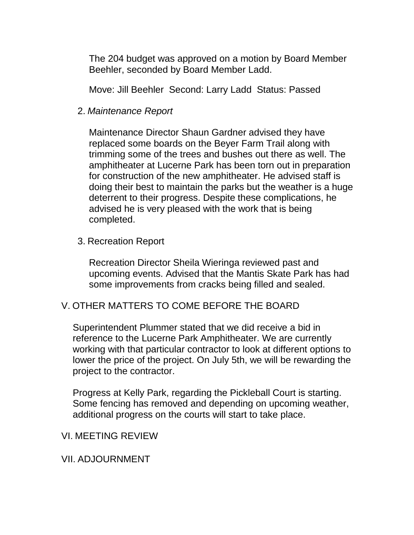The 204 budget was approved on a motion by Board Member Beehler, seconded by Board Member Ladd.

Move: Jill Beehler Second: Larry Ladd Status: Passed

2. *Maintenance Report* 

Maintenance Director Shaun Gardner advised they have replaced some boards on the Beyer Farm Trail along with trimming some of the trees and bushes out there as well. The amphitheater at Lucerne Park has been torn out in preparation for construction of the new amphitheater. He advised staff is doing their best to maintain the parks but the weather is a huge deterrent to their progress. Despite these complications, he advised he is very pleased with the work that is being completed.

3. Recreation Report

Recreation Director Sheila Wieringa reviewed past and upcoming events. Advised that the Mantis Skate Park has had some improvements from cracks being filled and sealed.

## V. OTHER MATTERS TO COME BEFORE THE BOARD

Superintendent Plummer stated that we did receive a bid in reference to the Lucerne Park Amphitheater. We are currently working with that particular contractor to look at different options to lower the price of the project. On July 5th, we will be rewarding the project to the contractor.

Progress at Kelly Park, regarding the Pickleball Court is starting. Some fencing has removed and depending on upcoming weather, additional progress on the courts will start to take place.

#### VI. MEETING REVIEW

VII. ADJOURNMENT